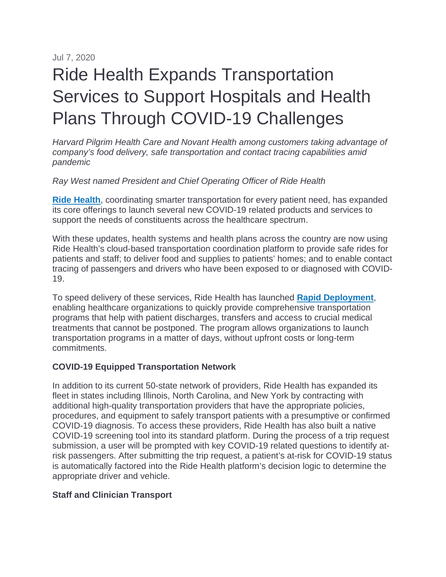Jul 7, 2020

# Ride Health Expands Transportation Services to Support Hospitals and Health Plans Through COVID-19 Challenges

*Harvard Pilgrim Health Care and Novant Health among customers taking advantage of company's food delivery, safe transportation and contact tracing capabilities amid pandemic*

*Ray West named President and Chief Operating Officer of Ride Health*

**[Ride Health](https://www.ridehealth.com/)**, coordinating smarter transportation for every patient need, has expanded its core offerings to launch several new COVID-19 related products and services to support the needs of constituents across the healthcare spectrum.

With these updates, health systems and health plans across the country are now using Ride Health's cloud-based transportation coordination platform to provide safe rides for patients and staff; to deliver food and supplies to patients' homes; and to enable contact tracing of passengers and drivers who have been exposed to or diagnosed with COVID-19.

To speed delivery of these services, Ride Health has launched **[Rapid Deployment](https://www.ridehealth.com/rapid-deployment)**, enabling healthcare organizations to quickly provide comprehensive transportation programs that help with patient discharges, transfers and access to crucial medical treatments that cannot be postponed. The program allows organizations to launch transportation programs in a matter of days, without upfront costs or long-term commitments.

# **COVID-19 Equipped Transportation Network**

In addition to its current 50-state network of providers, Ride Health has expanded its fleet in states including Illinois, North Carolina, and New York by contracting with additional high-quality transportation providers that have the appropriate policies, procedures, and equipment to safely transport patients with a presumptive or confirmed COVID-19 diagnosis. To access these providers, Ride Health has also built a native COVID-19 screening tool into its standard platform. During the process of a trip request submission, a user will be prompted with key COVID-19 related questions to identify atrisk passengers. After submitting the trip request, a patient's at-risk for COVID-19 status is automatically factored into the Ride Health platform's decision logic to determine the appropriate driver and vehicle.

#### **Staff and Clinician Transport**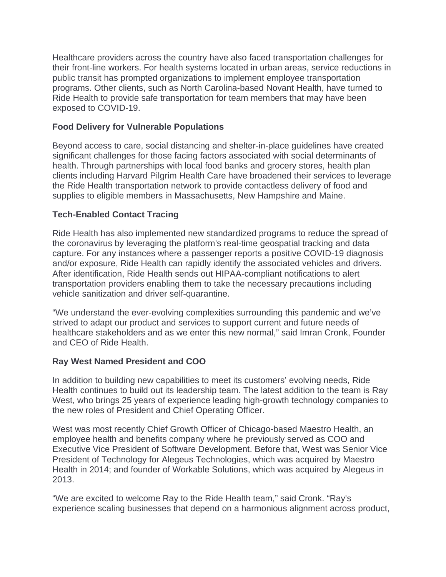Healthcare providers across the country have also faced transportation challenges for their front-line workers. For health systems located in urban areas, service reductions in public transit has prompted organizations to implement employee transportation programs. Other clients, such as North Carolina-based Novant Health, have turned to Ride Health to provide safe transportation for team members that may have been exposed to COVID-19.

## **Food Delivery for Vulnerable Populations**

Beyond access to care, social distancing and shelter-in-place guidelines have created significant challenges for those facing factors associated with social determinants of health. Through partnerships with local food banks and grocery stores, health plan clients including Harvard Pilgrim Health Care have broadened their services to leverage the Ride Health transportation network to provide contactless delivery of food and supplies to eligible members in Massachusetts, New Hampshire and Maine.

## **Tech-Enabled Contact Tracing**

Ride Health has also implemented new standardized programs to reduce the spread of the coronavirus by leveraging the platform's real-time geospatial tracking and data capture. For any instances where a passenger reports a positive COVID-19 diagnosis and/or exposure, Ride Health can rapidly identify the associated vehicles and drivers. After identification, Ride Health sends out HIPAA-compliant notifications to alert transportation providers enabling them to take the necessary precautions including vehicle sanitization and driver self-quarantine.

"We understand the ever-evolving complexities surrounding this pandemic and we've strived to adapt our product and services to support current and future needs of healthcare stakeholders and as we enter this new normal," said Imran Cronk, Founder and CEO of Ride Health.

#### **Ray West Named President and COO**

In addition to building new capabilities to meet its customers' evolving needs, Ride Health continues to build out its leadership team. The latest addition to the team is Ray West, who brings 25 years of experience leading high-growth technology companies to the new roles of President and Chief Operating Officer.

West was most recently Chief Growth Officer of Chicago-based Maestro Health, an employee health and benefits company where he previously served as COO and Executive Vice President of Software Development. Before that, West was Senior Vice President of Technology for Alegeus Technologies, which was acquired by Maestro Health in 2014; and founder of Workable Solutions, which was acquired by Alegeus in 2013.

"We are excited to welcome Ray to the Ride Health team," said Cronk. "Ray's experience scaling businesses that depend on a harmonious alignment across product,